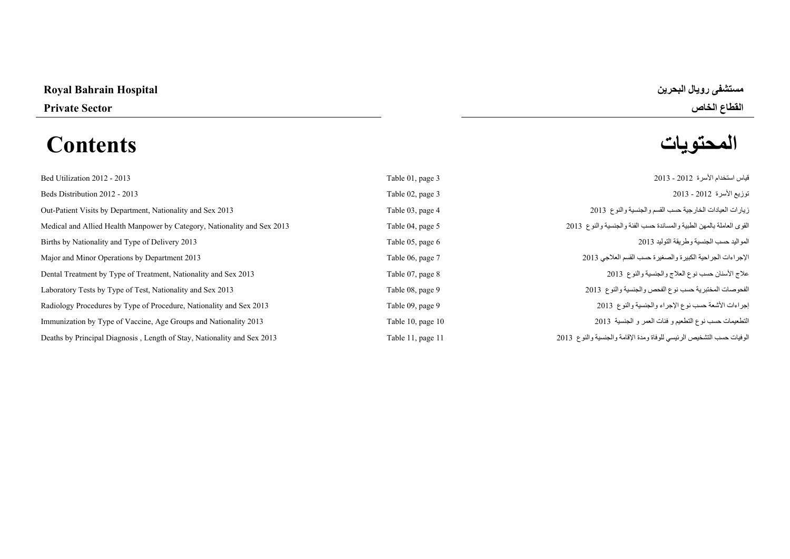# **مستشفى رويال البحرين Hospital Bahrain Royal**

# **المحتويات Contents**

**القطاع الخاص Sector Private** 

| Bed Utilization 2012 - 2013                                              | Table 01, page 3  | قياس استخدام الأسرة  2012 - 2013                                     |
|--------------------------------------------------------------------------|-------------------|----------------------------------------------------------------------|
| Beds Distribution 2012 - 2013                                            | Table 02, page 3  | توزيع الأسرة 2012 - 2013                                             |
| Out-Patient Visits by Department, Nationality and Sex 2013               | Table 03, page 4  | زيارات العيادات الخارجية حسب القسم والجنسية والنوع 2013              |
| Medical and Allied Health Manpower by Category, Nationality and Sex 2013 | Table 04, page 5  | القوى العاملة بالمهن الطبية والمساندة حسب الفئة والجنسية والنوع 2013 |
| Births by Nationality and Type of Delivery 2013                          | Table 05, page 6  | المواليد حسب الجنسية وطريقة التوليد 2013                             |
| Major and Minor Operations by Department 2013                            | Table 06, page 7  | الإجراءات الجراحية الكبيرة والصغيرة حسب القسم العلاجي 2013           |
| Dental Treatment by Type of Treatment, Nationality and Sex 2013          | Table 07, page 8  | علاج الأسنان حسب نوع العلاج والجنسية والنوع 2013                     |
| Laboratory Tests by Type of Test, Nationality and Sex 2013               | Table 08, page 9  | الفحوصات المختبرية حسب نوع الفحص والجنسية والنوع 2013                |
| Radiology Procedures by Type of Procedure, Nationality and Sex 2013      | Table 09, page 9  | إجراءات الأشعة حسب نوع الإجراء والجنسية والنوع 2013                  |
| Immunization by Type of Vaccine, Age Groups and Nationality 2013         | Table 10, page 10 | التطعيمات حسب نوع التطعيم و فئات العمر و الجنسية 2013                |
| Deaths by Principal Diagnosis, Length of Stay, Nationality and Sex 2013  | Table 11, page 11 | الوفيات حسب التشخيص الرئيسي للوفاة ومدة الإقامة والجنسية والنوع 2013 |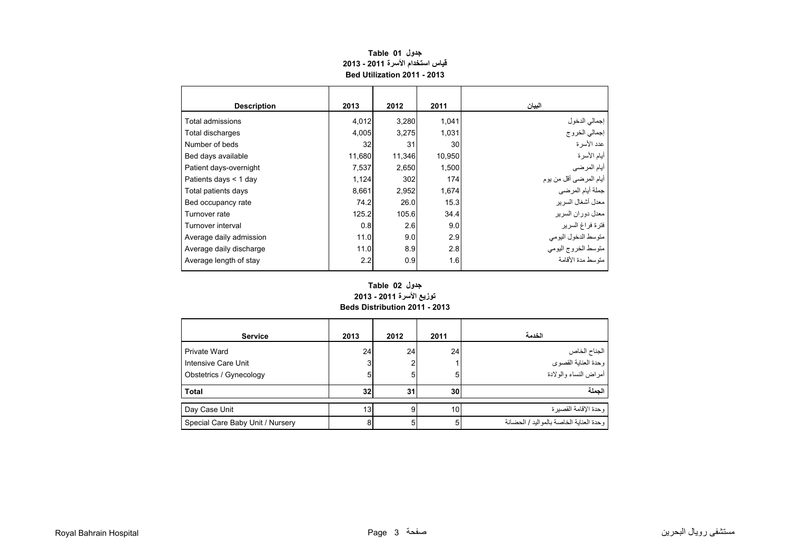<span id="page-1-0"></span>

| <b>Description</b>      | 2013   | 2012   | 2011   | البيان                  |
|-------------------------|--------|--------|--------|-------------------------|
| Total admissions        | 4,012  | 3,280  | 1,041  | إجمالي الدخول           |
| Total discharges        | 4,005  | 3,275  | 1,031  | .<br>إجمالي الخروج      |
| Number of beds          | 32     | 31     | 30     | عدد الأسر ة             |
| Bed days available      | 11,680 | 11,346 | 10,950 | أيام الأسرة             |
| Patient days-overnight  | 7,537  | 2,650  | 1,500  | أيام المرضي             |
| Patients days < 1 day   | 1,124  | 302    | 174    | أيام المرضىي أقل من يوم |
| Total patients days     | 8,661  | 2,952  | 1,674  | جملة أيام المرضى        |
| Bed occupancy rate      | 74.2   | 26.0   | 15.3   | معدل أشغال السرير       |
| Turnover rate           | 125.2  | 105.6  | 34.4   | معدل دوران السرير       |
| Turnover interval       | 0.8    | 2.6    | 9.0    | فترة فراغ السرير        |
| Average daily admission | 11.0   | 9.0    | 2.9    | متوسط الدخول اليومي     |
| Average daily discharge | 11.0   | 8.9    | 2.8    | متوسط الخروج اليومى     |
| Average length of stay  | 2.2    | 0.9    | 1.6    | منّه سط مدة الأقامة     |

# **جدول 01 Table قياس استخدام األسرة 2011 - 2013 Bed Utilization 2011 - 2013**

#### **Beds Distribution 2011 - 2013 جدول 02 Table توزيع األسرة 2011 - 2013**

|                                  |      |      |                 | الخدمة                                    |
|----------------------------------|------|------|-----------------|-------------------------------------------|
| <b>Service</b>                   | 2013 | 2012 | 2011            |                                           |
| Private Ward                     | 24   | 24   | 24              | الجناح الخاص                              |
| Intensive Care Unit              | 3    | 2    |                 | وحدة العناية القصوى                       |
| Obstetrics / Gynecology          | 5    | 5    | 5               | أمراض النساء والولادة                     |
| <b>Total</b>                     | 32   | 31   | 30 <sub>l</sub> | الحملة                                    |
|                                  |      |      |                 |                                           |
| Day Case Unit                    | 13   | 9    | 10              | وحدة الإقامة القصبر ة                     |
| Special Care Baby Unit / Nursery | 8    | 5    | 5               | وحدة العنابة الخاصية بالمواليد / الحضيانة |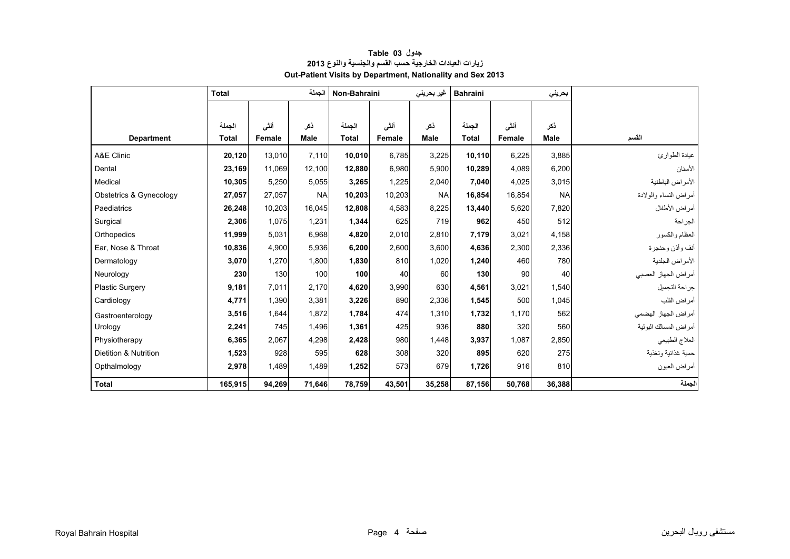<span id="page-2-0"></span>

|                         | الجملة<br><b>Total</b> |        | Non-Bahraini |              | غیر بحرینی | <b>Bahraini</b> |              | بحرينى |           |                       |
|-------------------------|------------------------|--------|--------------|--------------|------------|-----------------|--------------|--------|-----------|-----------------------|
|                         |                        |        |              |              |            |                 |              |        |           |                       |
|                         | الحملة                 | أنشى   | ذكر          | الجملة       | أنشى       | نكر             | الجملة       | أنشى   | ذكر       |                       |
| <b>Department</b>       | <b>Total</b>           | Female | <b>Male</b>  | <b>Total</b> | Female     | Male            | <b>Total</b> | Female | Male      | القسم                 |
| A&E Clinic              | 20,120                 | 13.010 | 7.110        | 10.010       | 6.785      | 3,225           | 10,110       | 6,225  | 3,885     | عيادة الطوارئ         |
| Dental                  | 23,169                 | 11.069 | 12.100       | 12.880       | 6.980      | 5,900           | 10,289       | 4.089  | 6,200     | الأسنان               |
| Medical                 | 10,305                 | 5,250  | 5.055        | 3,265        | 1,225      | 2.040           | 7,040        | 4,025  | 3,015     | الأمراض الباطنية      |
| Obstetrics & Gynecology | 27,057                 | 27,057 | <b>NA</b>    | 10,203       | 10,203     | <b>NA</b>       | 16,854       | 16,854 | <b>NA</b> | أمراض النساء والولادة |
| Paediatrics             | 26,248                 | 10,203 | 16,045       | 12,808       | 4,583      | 8,225           | 13,440       | 5,620  | 7,820     | أمراض الأطفال         |
| Surgical                | 2,306                  | 1,075  | 1,231        | 1,344        | 625        | 719             | 962          | 450    | 512       | الجراحة               |
| Orthopedics             | 11,999                 | 5.031  | 6.968        | 4,820        | 2,010      | 2.810           | 7,179        | 3.021  | 4,158     | العظام والكسور        |
| Ear, Nose & Throat      | 10,836                 | 4.900  | 5,936        | 6.200        | 2,600      | 3.600           | 4,636        | 2,300  | 2,336     | أنف وأذن وحنجرة       |
| Dermatology             | 3,070                  | 1,270  | 1,800        | 1,830        | 810        | 1,020           | 1,240        | 460    | 780       | الأمراض الجلدية       |
| Neurology               | 230                    | 130    | 100          | 100          | 40         | 60              | 130          | 90     | 40        | أمراض الجهاز العصبي   |
| <b>Plastic Surgery</b>  | 9,181                  | 7,011  | 2.170        | 4,620        | 3,990      | 630             | 4,561        | 3.021  | 1,540     | جراحة التجميل         |
| Cardiology              | 4,771                  | 1.390  | 3.381        | 3,226        | 890        | 2,336           | 1,545        | 500    | 1,045     | أمراض القلب           |
| Gastroenterology        | 3,516                  | 1,644  | 1.872        | 1,784        | 474        | 1.310           | 1,732        | 1.170  | 562       | أمراض الجهاز الهضمي   |
| Urology                 | 2,241                  | 745    | 1,496        | 1,361        | 425        | 936             | 880          | 320    | 560       | أمراض المسالك البولية |
| Physiotherapy           | 6,365                  | 2,067  | 4,298        | 2,428        | 980        | 1,448           | 3,937        | 1,087  | 2,850     | العلاج الطبيعي        |
| Dietition & Nutrition   | 1,523                  | 928    | 595          | 628          | 308        | 320             | 895          | 620    | 275       | حمية غذائية وتغذية    |
| Opthalmology            | 2,978                  | 1,489  | 1,489        | 1,252        | 573        | 679             | 1,726        | 916    | 810       | أمراض العيون          |
| <b>Total</b>            | 165,915                | 94,269 | 71,646       | 78,759       | 43,501     | 35,258          | 87,156       | 50,768 | 36,388    | الجملة                |

# **جدول 03 Table زيارات العيادات الخارجية حسب القسم والجنسية والنوع <sup>2013</sup> Out-Patient Visits by Department, Nationality and Sex 2013**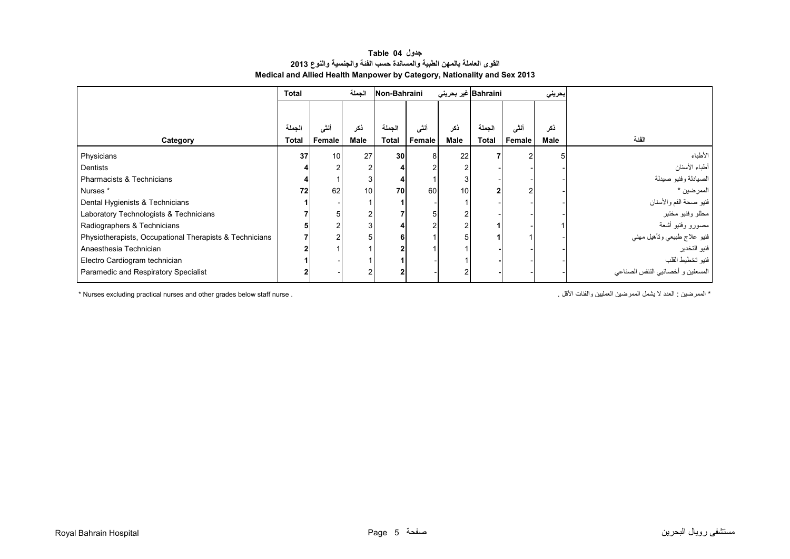#### **القوى العاملة بالمھن الطبية والمساندة حسب الفئة والجنسية والنوع <sup>2013</sup> Medical and Allied Health Manpower by Category, Nationality and Sex 2013 جدول 04 Table**

<span id="page-3-0"></span>

|                                                         | <b>Total</b> |        | الجملة | Non-Bahraini |        |      | Bahraini غير بحريني |        | بحريني |                                   |
|---------------------------------------------------------|--------------|--------|--------|--------------|--------|------|---------------------|--------|--------|-----------------------------------|
|                                                         |              |        |        |              |        |      |                     |        |        |                                   |
|                                                         | لجملة        | أننى   | ذكر    | الجملة       | أنشى   | ذكر  | الجملة              | أنشى   | نكر    |                                   |
| Category                                                | <b>Total</b> | Female | Male   | <b>Total</b> | Female | Male | <b>Total</b>        | Female | Male   | الفئة                             |
| Physicians                                              | 37           | 10     | 27     | 30           | 8      | 22   |                     |        |        | الأطباء                           |
| <b>Dentists</b>                                         |              |        | 2      |              |        |      |                     |        |        | أطباء الأسنان                     |
| Pharmacists & Technicians                               |              |        | 3      |              |        |      |                     |        |        | الصيادلة وفنيو صيدلة              |
| Nurses *                                                | 72           | 62     | 10     | 70           | 60     | 10   |                     |        |        | الممرضين *                        |
| Dental Hygienists & Technicians                         |              |        |        |              |        |      |                     |        |        | فنيو صحة الفم والأسنان            |
| Laboratory Technologists & Technicians                  |              |        | 2      |              | 5      |      |                     |        |        | محللو وفنيو مختبر                 |
| Radiographers & Technicians                             |              |        | 3      |              | っ      |      |                     |        |        | مصورو وفنيو أشعة                  |
| Physiotherapists, Occupational Therapists & Technicians |              |        | 5      |              |        |      |                     |        |        | فنيو علاج طبيعي وتأهيل مهني       |
| Anaesthesia Technician                                  |              |        |        |              |        |      |                     |        |        | فنيو التخدير                      |
| Electro Cardiogram technician                           |              |        |        |              |        |      |                     |        |        | فنيو تخطيط القلب                  |
| Paramedic and Respiratory Specialist                    |              |        | 2      |              |        |      |                     |        |        | المسعفين و أخصائيي الننفس الصناعي |

\* Nurses excluding practical nurses and other grades below staff nurse . . األقل والفئات العمليين الممرضين يشمل ال العدد : الممرضين\*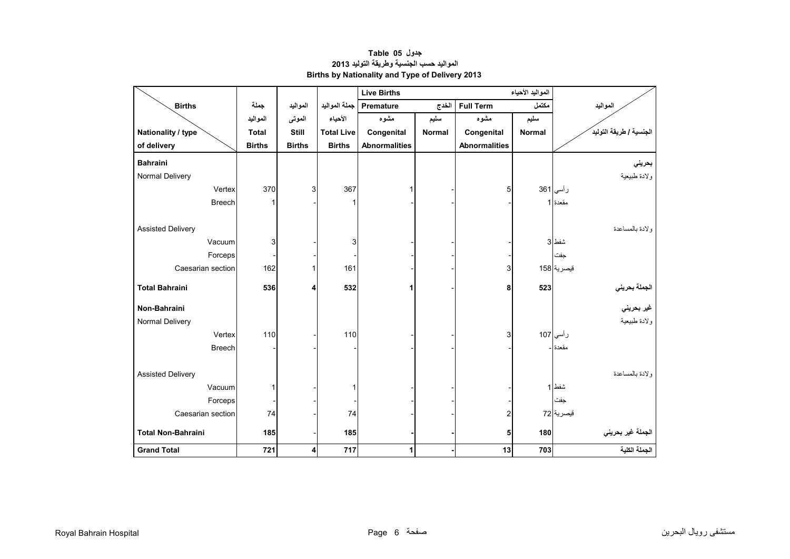<span id="page-4-0"></span>

|                           |               |               |                   | <b>Live Births</b>   |               |                      |               |                            |
|---------------------------|---------------|---------------|-------------------|----------------------|---------------|----------------------|---------------|----------------------------|
| <b>Births</b>             | جملة          | المواليد      | جملة المواليد     | <b>Premature</b>     | الخدج         | <b>Full Term</b>     | مكتمل         | المواليد                   |
|                           | المواليد      | الموتى        | الأحياء           | مشوه                 | سليم          | مشوه                 | سليم          |                            |
| Nationality / type        | <b>Total</b>  | <b>Still</b>  | <b>Total Live</b> | Congenital           | <b>Normal</b> | Congenital           | <b>Normal</b> | الجنسية / طريقة التوليدَ   |
| of delivery               | <b>Births</b> | <b>Births</b> | <b>Births</b>     | <b>Abnormalities</b> |               | <b>Abnormalities</b> |               |                            |
| <b>Bahraini</b>           |               |               |                   |                      |               |                      |               | بحريني                     |
| Normal Delivery           |               |               |                   |                      |               |                      |               | ولادة طبيعية               |
| Vertex                    | 370           | 3             | 367               |                      |               | 5                    |               | رأسي 361                   |
| <b>Breech</b>             | 1             |               | 1                 |                      |               |                      |               | مقعدة 1                    |
|                           |               |               |                   |                      |               |                      |               |                            |
| <b>Assisted Delivery</b>  |               |               |                   |                      |               |                      |               | ولادة بالمساعدة            |
| Vacuum                    | 3             |               | 3                 |                      |               |                      |               | شفط 3                      |
| Forceps                   |               |               |                   |                      |               |                      |               | جفت                        |
| Caesarian section         | 162           | 1             | 161               |                      |               | 3                    |               | قيصرية 158                 |
| <b>Total Bahraini</b>     | 536           | 4             | 532               | 1                    |               | 8                    | 523           |                            |
|                           |               |               |                   |                      |               |                      |               | الجملة بحرين <i>ي</i><br>ا |
| Non-Bahraini              |               |               |                   |                      |               |                      |               | غير بحرين <i>ي</i>         |
| Normal Delivery           |               |               |                   |                      |               |                      |               | ولادة طبيعية               |
| Vertex                    | 110           |               | 110               |                      |               | 3                    |               | رأسي 107                   |
| <b>Breech</b>             |               |               |                   |                      |               |                      |               | مقعدة ا                    |
|                           |               |               |                   |                      |               |                      |               |                            |
| <b>Assisted Delivery</b>  |               |               |                   |                      |               |                      |               | و لادة بالمساعدة           |
| Vacuum                    | 1             |               | 1                 |                      |               |                      |               | شفط 1                      |
| Forceps                   |               |               |                   |                      |               |                      |               | جفت                        |
| Caesarian section         | 74            |               | 74                |                      |               | 2                    |               | قيصرية 72                  |
| <b>Total Non-Bahraini</b> | 185           |               | 185               |                      |               | 5                    | 180           | الجملة غير بحريني          |
| <b>Grand Total</b>        | 721           | 4             | 717               | 1                    |               | 13                   | 703           | الجملة الكلية              |

#### **جدول 05 Table المواليد حسب الجنسية وطريقة التوليد <sup>2013</sup> Births by Nationality and Type of Delivery 2013**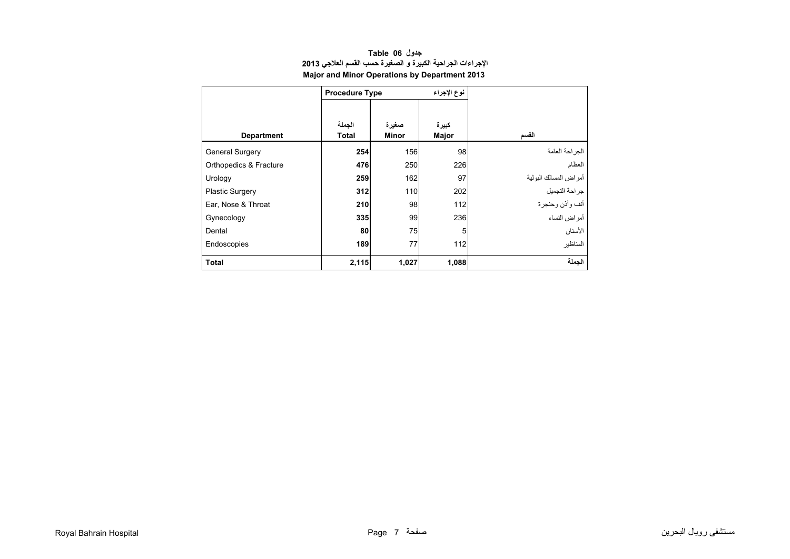<span id="page-5-0"></span>

|                        | <b>Procedure Type</b>  |                       | نوع الإجراء           |                       |
|------------------------|------------------------|-----------------------|-----------------------|-----------------------|
| <b>Department</b>      | الجملة<br><b>Total</b> | صغيرة<br><b>Minor</b> | كبيرة<br><b>Major</b> | القسم                 |
| <b>General Surgery</b> | 254                    | 156                   | 98                    | الجراحة العامة        |
| Orthopedics & Fracture | 476                    | 250                   | 226                   | العظام                |
| Urology                | 259                    | 162                   | 97                    | أمراض المسالك البولية |
| <b>Plastic Surgery</b> | 312                    | 110                   | 202                   | جراحة التجميل         |
| Ear, Nose & Throat     | 210                    | 98                    | 112                   | أنف وأذن وحنجرة       |
| Gynecology             | 335                    | 99                    | 236                   | أمر اض النساء         |
| Dental                 | 80                     | 75                    | 5                     | الأسنان               |
| Endoscopies            | 189                    | 77                    | 112                   | المناظير              |
| <b>Total</b>           | 2,115                  | 1,027                 | 1,088                 | الحملة                |

# **جدول 06 Table اإلجراءات الجراحية الكبيرة <sup>و</sup> الصغيرة حسب القسم العالجي <sup>2013</sup> Major and Minor Operations by Department 2013**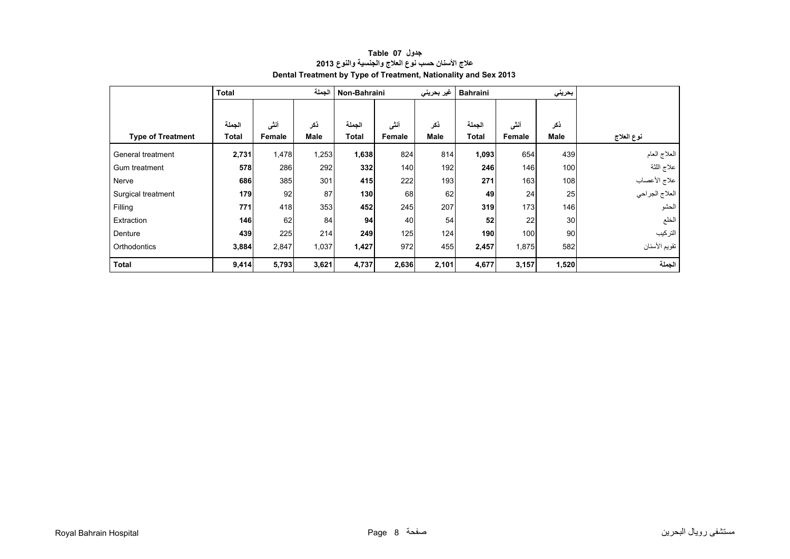<span id="page-6-0"></span>

|                          | <b>Total</b> |        | الجملة      | Non-Bahraini |        | غیر بحرینی  | <b>Bahraini</b> |        | بحريني      |                |
|--------------------------|--------------|--------|-------------|--------------|--------|-------------|-----------------|--------|-------------|----------------|
|                          |              |        |             |              |        |             |                 |        |             |                |
|                          | الجملة       | أننى   | ذكر         | الجملة       | أننى   | ذكر         | الجملة          | أنشى   | ذكر         |                |
| <b>Type of Treatment</b> | Total        | Female | <b>Male</b> | <b>Total</b> | Female | <b>Male</b> | <b>Total</b>    | Female | <b>Male</b> | نوع العلاج     |
| General treatment        | 2,731        | 1,478  | 1,253       | 1,638        | 824    | 814         | 1,093           | 654    | 439         | العلاج العام   |
| Gum treatment            | 578          | 286    | 292         | 332          | 140    | 192         | 246             | 146    | 100         | علاج اللثة     |
| Nerve                    | 686          | 385    | 301         | 415          | 222    | 193         | 271             | 163    | 108         | علاج الأعصاب   |
| Surgical treatment       | 179          | 92     | 87          | 130          | 68     | 62          | 49              | 24     | 25          | العلاج الجراحي |
| Filling                  | 771          | 418    | 353         | 452          | 245    | 207         | 319             | 173    | 146         | الحشو          |
| Extraction               | 146          | 62     | 84          | 94           | 40     | 54          | 52              | 22     | 30          | الخلع          |
| Denture                  | 439          | 225    | 214         | 249          | 125    | 124         | 190             | 100    | 90          | التركيب        |
| Orthodontics             | 3,884        | 2,847  | 1,037       | 1,427        | 972    | 455         | 2,457           | 1,875  | 582         | تقويم الأسنان  |
| <b>Total</b>             | 9,414        | 5,793  | 3,621       | 4,737        | 2,636  | 2,101       | 4,677           | 3,157  | 1,520       | الجملة         |

# **جدول 07 Table عالج األسنان حسب نوع العالج والجنسية والنوع <sup>2013</sup> Dental Treatment by Type of Treatment, Nationality and Sex 2013**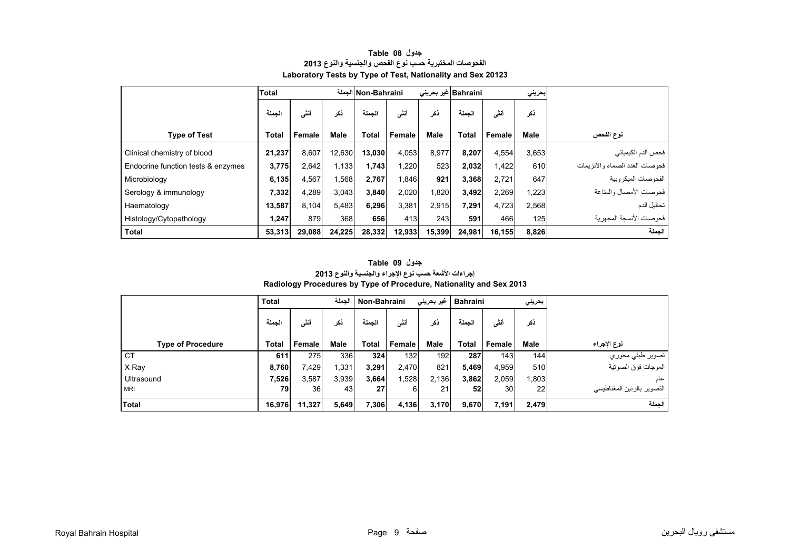<span id="page-7-0"></span>

|                                    | <b>Total</b> |        |        | Non-Bahraini الجملة |        | Bahraini غیر بحرینی |              |        | بحرينى |                                |
|------------------------------------|--------------|--------|--------|---------------------|--------|---------------------|--------------|--------|--------|--------------------------------|
|                                    | الحملة       | أنثى   | نكر    | الحملة              | أنثى   | ذكر                 | الحملة       | أننسى  | ذكر    |                                |
| <b>Type of Test</b>                | <b>Total</b> | Female | Male   | <b>Total</b>        | Female | <b>Male</b>         | <b>Total</b> | Female | Male   | نوع الفحص                      |
| Clinical chemistry of blood        | 21,237       | 8,607  | 12,630 | 13,030              | 4,053  | 8,977               | 8,207        | 4,554  | 3,653  | فحص الدم الكيميائي             |
| Endocrine function tests & enzymes | 3,775        | 2,642  | 1,133  | 1,743               | ,220   | 523                 | 2,032        | 1,422  | 610    | فحوصات الغدد الصماء والأنزيمات |
| Microbiology                       | 6,135        | 4,567  | 1,568  | 2,767               | ,846   | 921                 | 3,368        | 2,721  | 647    | الفحو صبات الميكر وبية         |
| Serology & immunology              | 7,332        | 4,289  | 3,043  | 3,840               | 2,020  | 1,820               | 3,492        | 2,269  | 1,223  | فحوصات الأمصال والمناعة        |
| Haematology                        | 13,587       | 8,104  | 5,483  | 6,296               | 3,381  | 2.915               | 7,291        | 4,723  | 2,568  | تحاليل الدم                    |
| Histology/Cytopathology            | 1,247        | 879    | 368    | 656                 | 413    | 243                 | 591          | 466    | 125    | فحو صبات الأنسجة المجهر بة     |
| <b>Total</b>                       | 53,313       | 29,088 | 24,225 | 28,332              | 12,933 | 15,399              | 24,981       | 16,155 | 8,826  | الحملة                         |

#### **جدول 08 Table الفحوصات المختبرية حسب نوع الفحص والجنسية والنوع <sup>2013</sup> Laboratory Tests by Type of Test, Nationality and Sex 20123**

#### **Radiology Procedures by Type of Procedure, Nationality and Sex 2013 جدول 09 Table إجراءات األشعة حسب نوع اإلجراء والجنسية والنوع <sup>2013</sup>**

|                          | <b>Total</b> |        | الحملة      |              | Bahraini   غیر بحرینی<br>Non-Bahraini |             |              |                 | بحريني      |                            |
|--------------------------|--------------|--------|-------------|--------------|---------------------------------------|-------------|--------------|-----------------|-------------|----------------------------|
|                          | الجملة       | أننسى  | نكر         | الجملة       | أنشى                                  | ذكر         | الحملة       | أنشى            | ذكر         |                            |
| <b>Type of Procedure</b> | <b>Total</b> | Female | <b>Male</b> | <b>Total</b> | Female                                | <b>Male</b> | <b>Total</b> | <b>Female</b>   | <b>Male</b> | نوع الإجراء                |
| CT                       | 611          | 275    | 336         | 324          | 132                                   | 192         | 287          | 143             | 144         | تصوير طبقي محوري           |
| X Ray                    | 8,760        | 7,429  | 1,331       | 3,291        | 2,470                                 | 821         | 5,469        | 4,959           | 510         | الموجات فوق الصوتية        |
| Ultrasound               | 7,526        | 3,587  | 3,939       | 3,664        | .528                                  | 2,136       | 3,862        | 2,059           | 1,803       | عام                        |
| <b>MRI</b>               | 79           | 36     | 43          | 27           | 6                                     | 21          | 52           | 30 <sup>l</sup> | 22          | التصوير بالرنين المغناطيسي |
| Total                    | 16,976       | 11,327 | 5,649       | 7,306        | 4,136                                 | 3,170       | 9,670        | 7,191           | 2,479       | الحملة                     |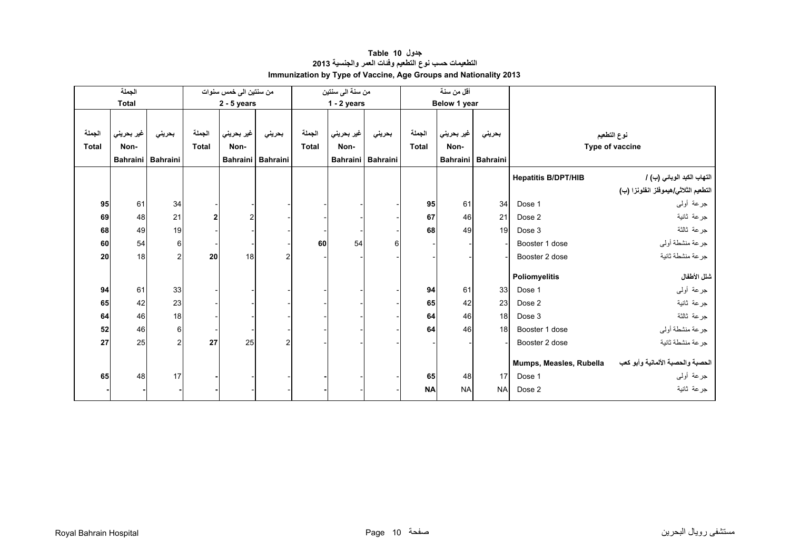<span id="page-8-0"></span>

|              | الجملة       |                   |              | من سنتين الى خمس سنوات |                   |              | من سنة الى سنتين |                   |              | أقل من سنة   |                 |                            |                                      |
|--------------|--------------|-------------------|--------------|------------------------|-------------------|--------------|------------------|-------------------|--------------|--------------|-----------------|----------------------------|--------------------------------------|
|              | <b>Total</b> |                   |              | $2 - 5$ years          |                   |              | $1 - 2$ years    |                   |              | Below 1 year |                 |                            |                                      |
|              |              |                   |              |                        |                   |              |                  |                   |              |              |                 |                            |                                      |
| الجملة       | غير بحريني   | بحريني            | الجملة       | غير بحريني             | بحريني            | الجملة       | غير بحريني       | بحريني            | الجملة       | غير بحريني   | بحريني          |                            | نوع التطعيم                          |
| <b>Total</b> | Non-         |                   | <b>Total</b> | Non-                   |                   | <b>Total</b> | Non-             |                   | <b>Total</b> | Non-         |                 |                            | Type of vaccine                      |
|              |              | Bahraini Bahraini |              |                        | Bahraini Bahraini |              |                  | Bahraini Bahraini |              | Bahraini     | <b>Bahraini</b> |                            |                                      |
|              |              |                   |              |                        |                   |              |                  |                   |              |              |                 | <b>Hepatitis B/DPT/HIB</b> | التهاب الكبد الوبائي (ب) /           |
|              |              |                   |              |                        |                   |              |                  |                   |              |              |                 |                            | التطعيم الثلاثي/هيموفلز انفلونزا (ب) |
| 95           | 61           | 34                |              |                        |                   |              |                  |                   | 95           | 61           | 34              | Dose 1                     | جرعة أولىي                           |
| 69           | 48           | 21                | 2            |                        |                   |              |                  |                   | 67           | 46           | 21              | Dose 2                     | جرعة ثانية                           |
| 68           | 49           | 19                |              |                        |                   |              |                  |                   | 68           | 49           | 19              | Dose 3                     | جرعة ثالثة                           |
| 60           | 54           | $6 \mid$          |              |                        |                   | 60           | 54               | 6                 |              |              |                 | Booster 1 dose             | جرعة منشطة أولي                      |
| 20           | 18           | $\overline{c}$    | 20           | 18                     | $\overline{2}$    |              |                  |                   |              |              |                 | Booster 2 dose             | جرعة منشطة ثانية                     |
|              |              |                   |              |                        |                   |              |                  |                   |              |              |                 | Poliomyelitis              | شلل الأطفال                          |
| 94           | 61           | 33                |              |                        |                   |              |                  |                   | 94           | 61           | 33              | Dose 1                     | جرعة أولىي                           |
| 65           | 42           | 23                |              |                        |                   |              |                  |                   | 65           | 42           | 23              | Dose 2                     | جرعة ثانية                           |
| 64           | 46           | 18                |              |                        |                   |              |                  |                   | 64           | 46           | 18              | Dose 3                     | جرعة ثالثة                           |
| 52           | 46           | $6 \mid$          |              |                        |                   |              |                  |                   | 64           | 46           | 18              | Booster 1 dose             | جرعة منشطة أولى                      |
| 27           | 25           | $\overline{2}$    | 27           | 25                     | $\overline{2}$    |              |                  |                   |              |              |                 | Booster 2 dose             | جرعة منشطة ثانية                     |
|              |              |                   |              |                        |                   |              |                  |                   |              |              |                 | Mumps, Measles, Rubella    | الحصبة والحصبة الألمانية وأبو كعب    |
| 65           | 48           | 17                |              |                        |                   |              |                  |                   | 65           | 48           | 17              | Dose 1                     | جرعة أولىي                           |
|              |              |                   |              |                        |                   |              |                  |                   | <b>NA</b>    | <b>NA</b>    | <b>NA</b>       | Dose 2                     | جرعة ثانية                           |

# **جدول 10 Table التطعيمات حسب نوع التطعيم وفئات العمر والجنسية <sup>2013</sup> Immunization by Type of Vaccine, Age Groups and Nationality 2013**